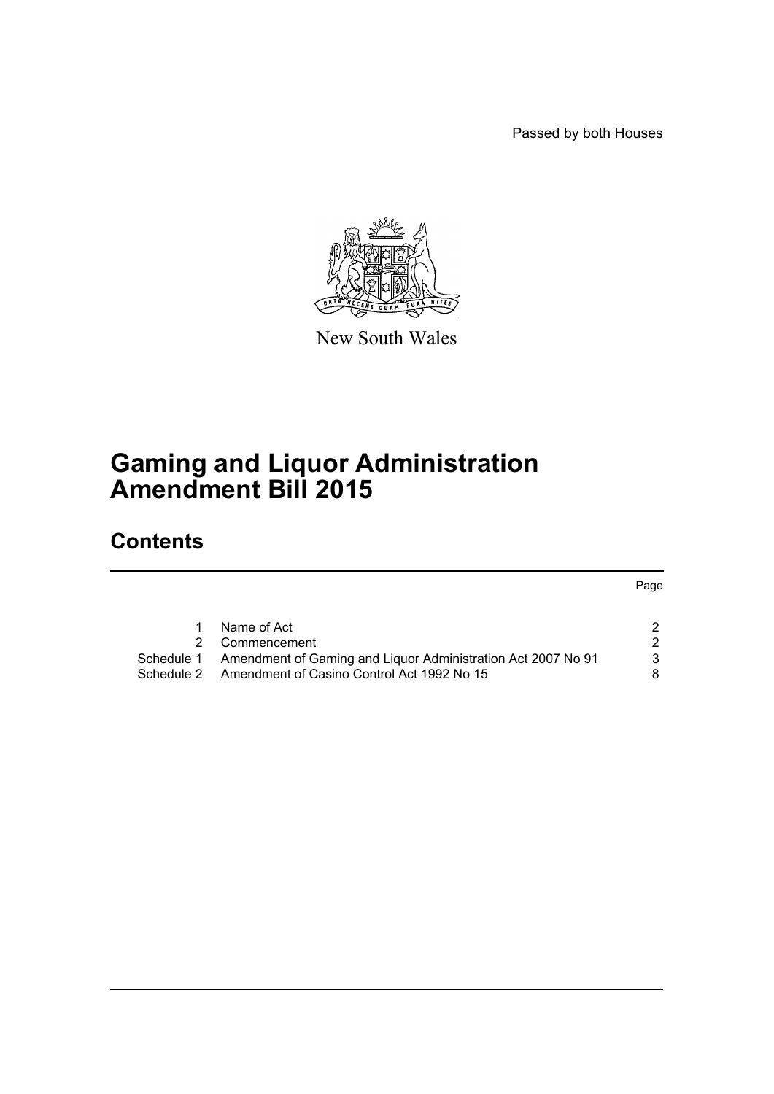Passed by both Houses



New South Wales

# **Gaming and Liquor Administration Amendment Bill 2015**

## **Contents**

Page

|            | Name of Act                                                  |   |
|------------|--------------------------------------------------------------|---|
|            | 2 Commencement                                               |   |
| Schedule 1 | Amendment of Gaming and Liquor Administration Act 2007 No 91 | 3 |
| Schedule 2 | Amendment of Casino Control Act 1992 No 15                   | 8 |
|            |                                                              |   |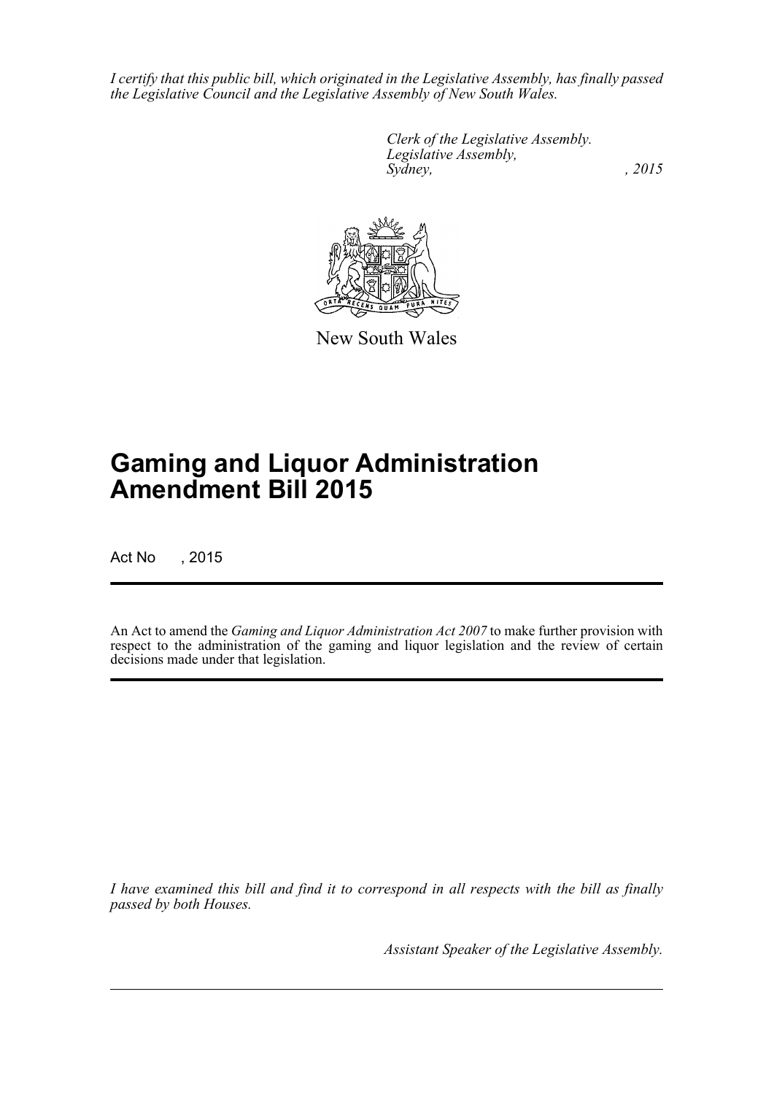*I certify that this public bill, which originated in the Legislative Assembly, has finally passed the Legislative Council and the Legislative Assembly of New South Wales.*

> *Clerk of the Legislative Assembly. Legislative Assembly, Sydney,* , 2015



New South Wales

# **Gaming and Liquor Administration Amendment Bill 2015**

Act No , 2015

An Act to amend the *Gaming and Liquor Administration Act 2007* to make further provision with respect to the administration of the gaming and liquor legislation and the review of certain decisions made under that legislation.

*I have examined this bill and find it to correspond in all respects with the bill as finally passed by both Houses.*

*Assistant Speaker of the Legislative Assembly.*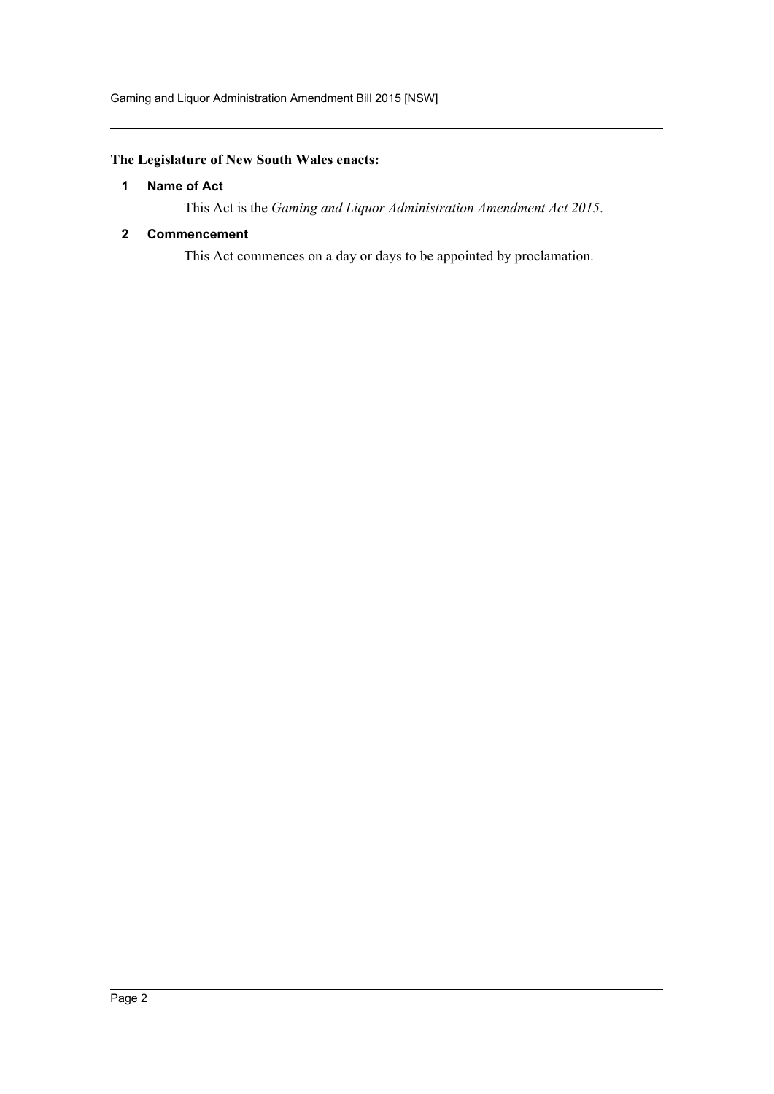#### <span id="page-2-0"></span>**The Legislature of New South Wales enacts:**

#### **1 Name of Act**

This Act is the *Gaming and Liquor Administration Amendment Act 2015*.

#### <span id="page-2-1"></span>**2 Commencement**

This Act commences on a day or days to be appointed by proclamation.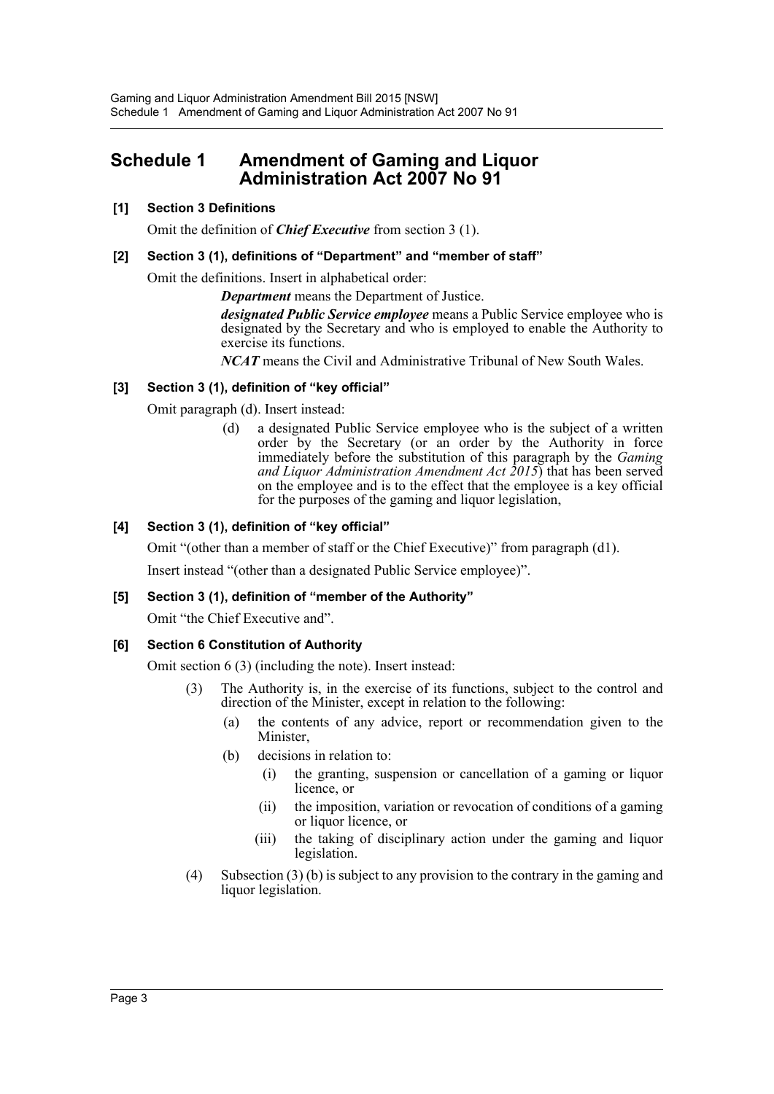### <span id="page-3-0"></span>**Schedule 1 Amendment of Gaming and Liquor Administration Act 2007 No 91**

#### **[1] Section 3 Definitions**

Omit the definition of *Chief Executive* from section 3 (1).

#### **[2] Section 3 (1), definitions of "Department" and "member of staff"**

Omit the definitions. Insert in alphabetical order:

*Department* means the Department of Justice.

*designated Public Service employee* means a Public Service employee who is designated by the Secretary and who is employed to enable the Authority to exercise its functions.

*NCAT* means the Civil and Administrative Tribunal of New South Wales.

#### **[3] Section 3 (1), definition of "key official"**

Omit paragraph (d). Insert instead:

(d) a designated Public Service employee who is the subject of a written order by the Secretary (or an order by the Authority in force immediately before the substitution of this paragraph by the *Gaming and Liquor Administration Amendment Act 2015*) that has been served on the employee and is to the effect that the employee is a key official for the purposes of the gaming and liquor legislation,

#### **[4] Section 3 (1), definition of "key official"**

Omit "(other than a member of staff or the Chief Executive)" from paragraph (d1).

Insert instead "(other than a designated Public Service employee)".

#### **[5] Section 3 (1), definition of "member of the Authority"**

Omit "the Chief Executive and".

#### **[6] Section 6 Constitution of Authority**

Omit section 6 (3) (including the note). Insert instead:

- (3) The Authority is, in the exercise of its functions, subject to the control and direction of the Minister, except in relation to the following:
	- (a) the contents of any advice, report or recommendation given to the Minister,
	- (b) decisions in relation to:
		- (i) the granting, suspension or cancellation of a gaming or liquor licence, or
		- (ii) the imposition, variation or revocation of conditions of a gaming or liquor licence, or
		- (iii) the taking of disciplinary action under the gaming and liquor legislation.
- (4) Subsection (3) (b) is subject to any provision to the contrary in the gaming and liquor legislation.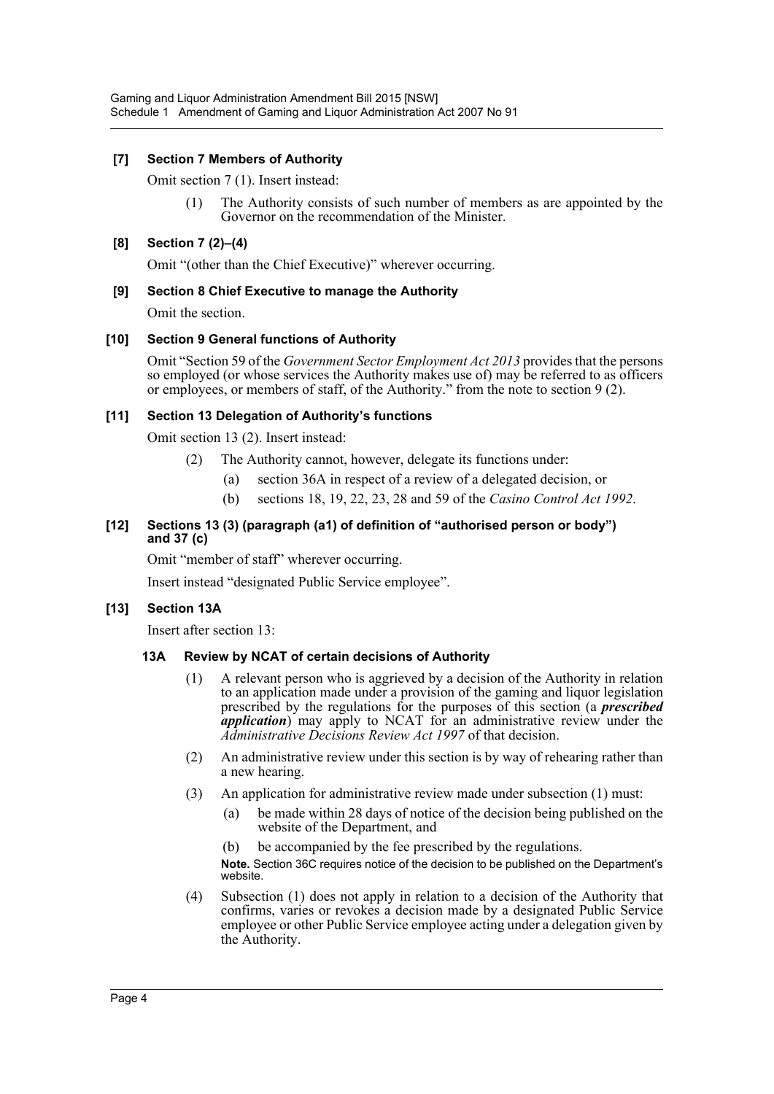#### **[7] Section 7 Members of Authority**

Omit section 7 (1). Insert instead:

(1) The Authority consists of such number of members as are appointed by the Governor on the recommendation of the Minister.

#### **[8] Section 7 (2)–(4)**

Omit "(other than the Chief Executive)" wherever occurring.

#### **[9] Section 8 Chief Executive to manage the Authority**

Omit the section.

#### **[10] Section 9 General functions of Authority**

Omit "Section 59 of the *Government Sector Employment Act 2013* provides that the persons so employed (or whose services the Authority makes use of) may be referred to as officers or employees, or members of staff, of the Authority." from the note to section 9 (2).

#### **[11] Section 13 Delegation of Authority's functions**

Omit section 13 (2). Insert instead:

- (2) The Authority cannot, however, delegate its functions under:
	- (a) section 36A in respect of a review of a delegated decision, or
	- (b) sections 18, 19, 22, 23, 28 and 59 of the *Casino Control Act 1992*.

#### **[12] Sections 13 (3) (paragraph (a1) of definition of "authorised person or body") and 37 (c)**

Omit "member of staff" wherever occurring.

Insert instead "designated Public Service employee".

#### **[13] Section 13A**

Insert after section 13:

#### **13A Review by NCAT of certain decisions of Authority**

- (1) A relevant person who is aggrieved by a decision of the Authority in relation to an application made under a provision of the gaming and liquor legislation prescribed by the regulations for the purposes of this section (a *prescribed application*) may apply to NCAT for an administrative review under the *Administrative Decisions Review Act 1997* of that decision.
- (2) An administrative review under this section is by way of rehearing rather than a new hearing.
- (3) An application for administrative review made under subsection (1) must:
	- (a) be made within 28 days of notice of the decision being published on the website of the Department, and
	- (b) be accompanied by the fee prescribed by the regulations.

**Note.** Section 36C requires notice of the decision to be published on the Department's website.

(4) Subsection (1) does not apply in relation to a decision of the Authority that confirms, varies or revokes a decision made by a designated Public Service employee or other Public Service employee acting under a delegation given by the Authority.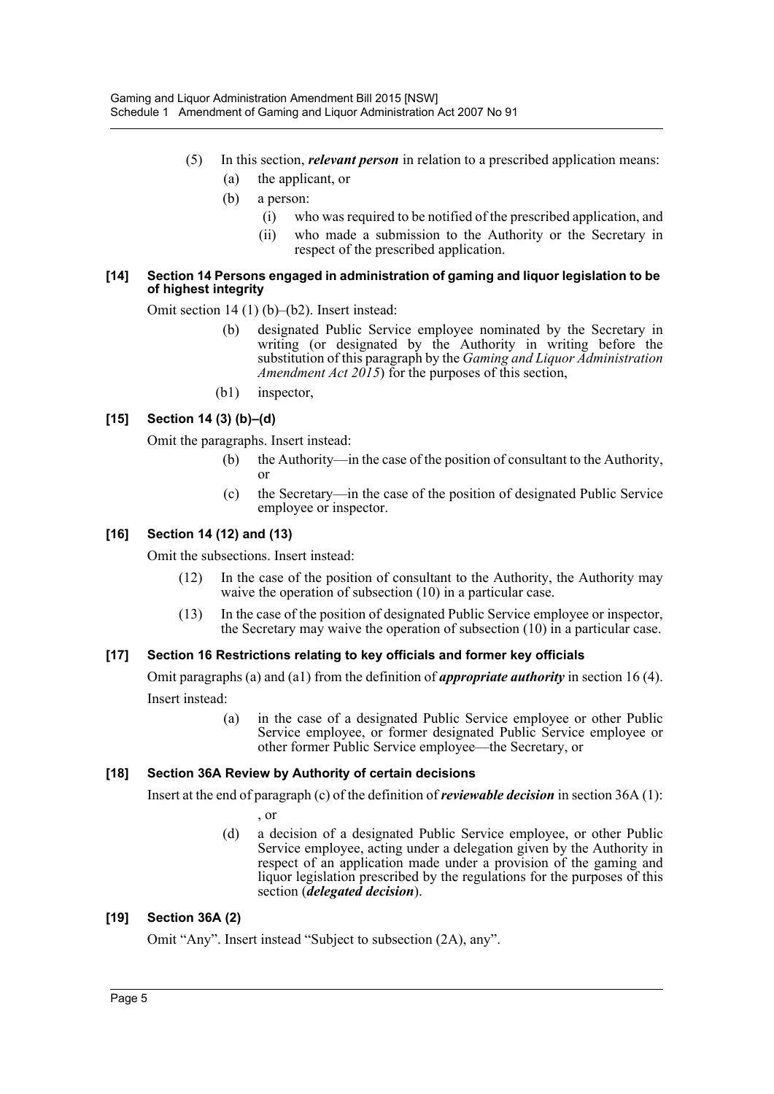- (5) In this section, *relevant person* in relation to a prescribed application means: (a) the applicant, or
	-
	- (b) a person:
		- (i) who was required to be notified of the prescribed application, and
		- (ii) who made a submission to the Authority or the Secretary in respect of the prescribed application.

#### **[14] Section 14 Persons engaged in administration of gaming and liquor legislation to be of highest integrity**

Omit section 14 (1) (b)–(b2). Insert instead:

- (b) designated Public Service employee nominated by the Secretary in writing (or designated by the Authority in writing before the substitution of this paragraph by the *Gaming and Liquor Administration Amendment Act 2015*) for the purposes of this section,
- (b1) inspector,

#### **[15] Section 14 (3) (b)–(d)**

Omit the paragraphs. Insert instead:

- (b) the Authority—in the case of the position of consultant to the Authority, or
- (c) the Secretary—in the case of the position of designated Public Service employee or inspector.

#### **[16] Section 14 (12) and (13)**

Omit the subsections. Insert instead:

- (12) In the case of the position of consultant to the Authority, the Authority may waive the operation of subsection (10) in a particular case.
- (13) In the case of the position of designated Public Service employee or inspector, the Secretary may waive the operation of subsection (10) in a particular case.

#### **[17] Section 16 Restrictions relating to key officials and former key officials**

Omit paragraphs (a) and (a1) from the definition of *appropriate authority* in section 16 (4). Insert instead:

> (a) in the case of a designated Public Service employee or other Public Service employee, or former designated Public Service employee or other former Public Service employee—the Secretary, or

#### **[18] Section 36A Review by Authority of certain decisions**

Insert at the end of paragraph (c) of the definition of *reviewable decision* in section 36A (1):

, or

(d) a decision of a designated Public Service employee, or other Public Service employee, acting under a delegation given by the Authority in respect of an application made under a provision of the gaming and liquor legislation prescribed by the regulations for the purposes of this section (*delegated decision*).

#### **[19] Section 36A (2)**

Omit "Any". Insert instead "Subject to subsection (2A), any".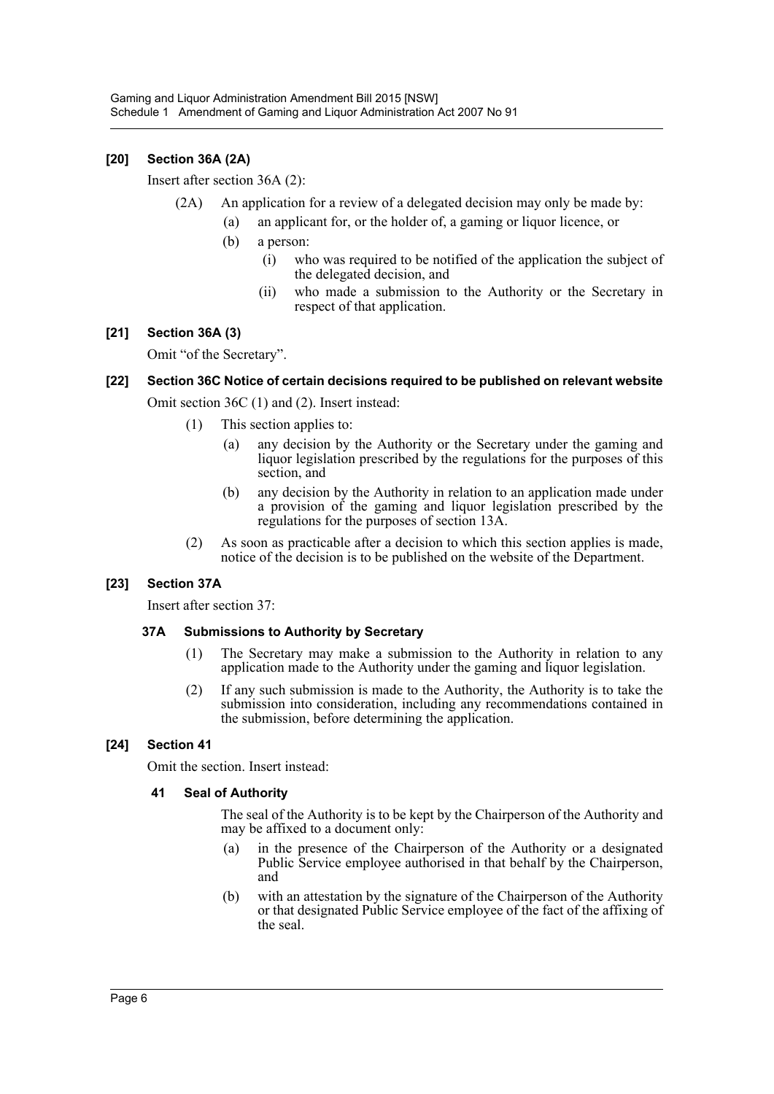#### **[20] Section 36A (2A)**

Insert after section 36A (2):

- (2A) An application for a review of a delegated decision may only be made by:
	- (a) an applicant for, or the holder of, a gaming or liquor licence, or
		- (b) a person:
			- (i) who was required to be notified of the application the subject of the delegated decision, and
			- (ii) who made a submission to the Authority or the Secretary in respect of that application.

#### **[21] Section 36A (3)**

Omit "of the Secretary".

#### **[22] Section 36C Notice of certain decisions required to be published on relevant website**

Omit section 36C (1) and (2). Insert instead:

- (1) This section applies to:
	- (a) any decision by the Authority or the Secretary under the gaming and liquor legislation prescribed by the regulations for the purposes of this section, and
	- (b) any decision by the Authority in relation to an application made under a provision of the gaming and liquor legislation prescribed by the regulations for the purposes of section 13A.
- (2) As soon as practicable after a decision to which this section applies is made, notice of the decision is to be published on the website of the Department.

#### **[23] Section 37A**

Insert after section 37:

#### **37A Submissions to Authority by Secretary**

- (1) The Secretary may make a submission to the Authority in relation to any application made to the Authority under the gaming and liquor legislation.
- (2) If any such submission is made to the Authority, the Authority is to take the submission into consideration, including any recommendations contained in the submission, before determining the application.

#### **[24] Section 41**

Omit the section. Insert instead:

#### **41 Seal of Authority**

The seal of the Authority is to be kept by the Chairperson of the Authority and may be affixed to a document only:

- (a) in the presence of the Chairperson of the Authority or a designated Public Service employee authorised in that behalf by the Chairperson, and
- (b) with an attestation by the signature of the Chairperson of the Authority or that designated Public Service employee of the fact of the affixing of the seal.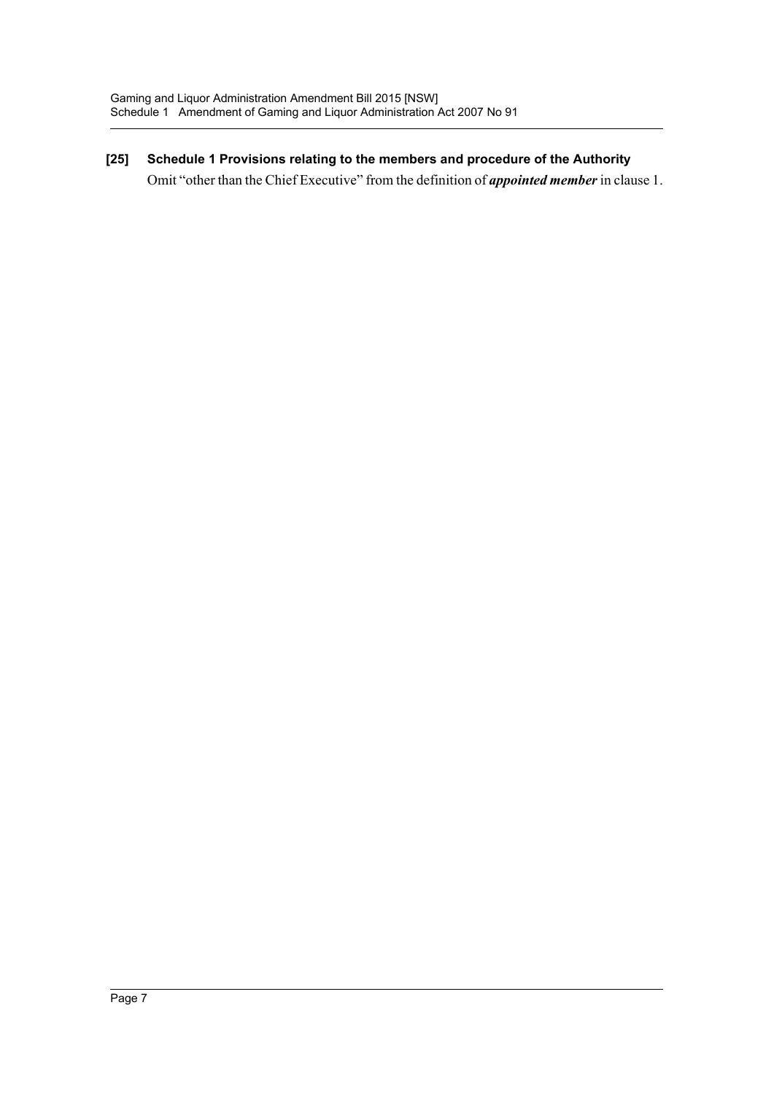**[25] Schedule 1 Provisions relating to the members and procedure of the Authority**  Omit "other than the Chief Executive" from the definition of *appointed member* in clause 1.